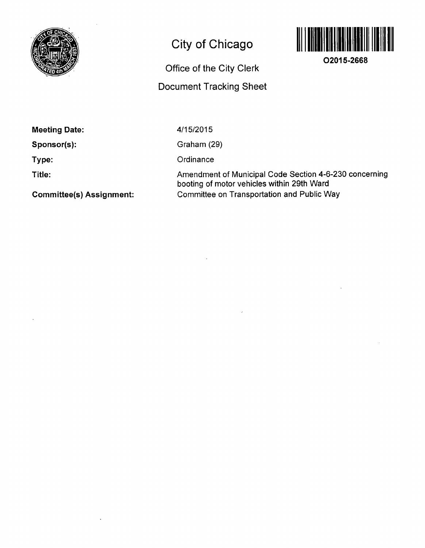

## **City of Chicago**



**02015-2668** 

Office of the City Clerk Document Tracking Sheet

**Meeting Date:** 

**Sponsor(s):** 

**Type:** 

**Title:** 

4/15/2015

Graham (29)

**Ordinance** 

Amendment of Municipal Code Section 4-6-230 concerning booting of motor vehicles within 29th Ward Committee on Transportation and Public Way

**Committee(s) Assignment:**